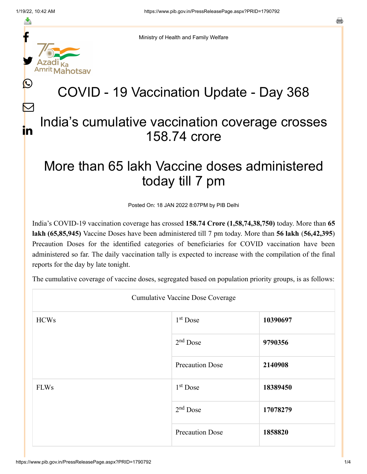f

≛

y.

 $\bigcirc$ 

 $\bm{\nabla}$ 

in

Ministry of Health and Family Welfare

## COVID - 19 Vaccination Update - Day 368

## India's cumulative vaccination coverage crosses 158.74 crore

## More than 65 lakh Vaccine doses administered today till 7 pm

Posted On: 18 JAN 2022 8:07PM by PIB Delhi

India's COVID-19 vaccination coverage has crossed **158.74 Crore (1,58,74,38,750)** today. More than **65 lakh (65,85,945)** Vaccine Doses have been administered till 7 pm today. More than **56 lakh** (**56,42,395**) Precaution Doses for the identified categories of beneficiaries for COVID vaccination have been administered so far. The daily vaccination tally is expected to increase with the compilation of the final reports for the day by late tonight.

The cumulative coverage of vaccine doses, segregated based on population priority groups, is as follows:

| <b>Cumulative Vaccine Dose Coverage</b> |                        |          |
|-----------------------------------------|------------------------|----------|
| <b>HCWs</b>                             | $1st$ Dose             | 10390697 |
|                                         | $2nd$ Dose             | 9790356  |
|                                         | <b>Precaution Dose</b> | 2140908  |
| <b>FLWs</b>                             | $1st$ Dose             | 18389450 |
|                                         | $2nd$ Dose             | 17078279 |
|                                         | <b>Precaution Dose</b> | 1858820  |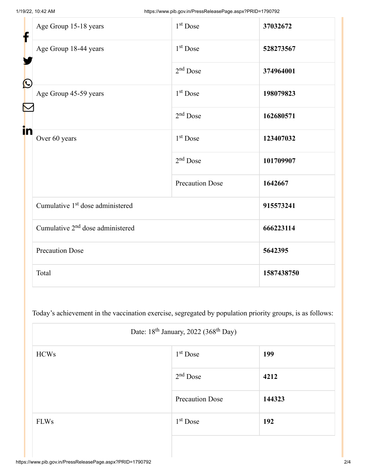Г

| f<br>$\bf \Omega$ | Age Group 15-18 years                        | 1 <sup>st</sup> Dose   | 37032672   |
|-------------------|----------------------------------------------|------------------------|------------|
|                   | Age Group 18-44 years                        | 1 <sup>st</sup> Dose   | 528273567  |
|                   |                                              | $2nd$ Dose             | 374964001  |
|                   | Age Group 45-59 years                        | $1st$ Dose             | 198079823  |
|                   |                                              | $2nd$ Dose             | 162680571  |
| in                | Over 60 years                                | 1 <sup>st</sup> Dose   | 123407032  |
|                   |                                              | $2nd$ Dose             | 101709907  |
|                   |                                              | <b>Precaution Dose</b> | 1642667    |
|                   | Cumulative 1 <sup>st</sup> dose administered |                        | 915573241  |
|                   | Cumulative 2 <sup>nd</sup> dose administered |                        | 666223114  |
|                   | <b>Precaution Dose</b>                       |                        | 5642395    |
|                   | Total                                        |                        | 1587438750 |

Today's achievement in the vaccination exercise, segregated by population priority groups, is as follows:

| Date: 18 <sup>th</sup> January, 2022 (368 <sup>th</sup> Day) |                        |        |
|--------------------------------------------------------------|------------------------|--------|
| <b>HCWs</b>                                                  | $1st$ Dose             | 199    |
|                                                              | $2nd$ Dose             | 4212   |
|                                                              | <b>Precaution Dose</b> | 144323 |
| <b>FLWs</b>                                                  | $1st$ Dose             | 192    |
|                                                              |                        |        |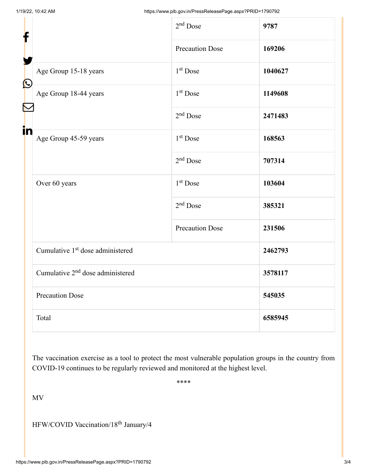| f                         |                                              | 2 <sup>nd</sup> Dose   | 9787    |
|---------------------------|----------------------------------------------|------------------------|---------|
|                           |                                              | <b>Precaution Dose</b> | 169206  |
| $\boldsymbol{\mathbb{Q}}$ | Age Group 15-18 years                        | 1 <sup>st</sup> Dose   | 1040627 |
|                           | Age Group 18-44 years                        | 1 <sup>st</sup> Dose   | 1149608 |
|                           |                                              | $2nd$ Dose             | 2471483 |
| in                        | Age Group 45-59 years                        | $1st$ Dose             | 168563  |
|                           |                                              | $2nd$ Dose             | 707314  |
|                           | Over 60 years                                | 1 <sup>st</sup> Dose   | 103604  |
|                           |                                              | $2nd$ Dose             | 385321  |
|                           |                                              | <b>Precaution Dose</b> | 231506  |
|                           | Cumulative 1 <sup>st</sup> dose administered |                        | 2462793 |
|                           | Cumulative 2 <sup>nd</sup> dose administered |                        | 3578117 |
|                           | <b>Precaution Dose</b>                       |                        | 545035  |
|                           | Total                                        |                        | 6585945 |

The vaccination exercise as a tool to protect the most vulnerable population groups in the country from COVID-19 continues to be regularly reviewed and monitored at the highest level.

\*\*\*\*

MV

HFW/COVID Vaccination/18<sup>th</sup> January/4